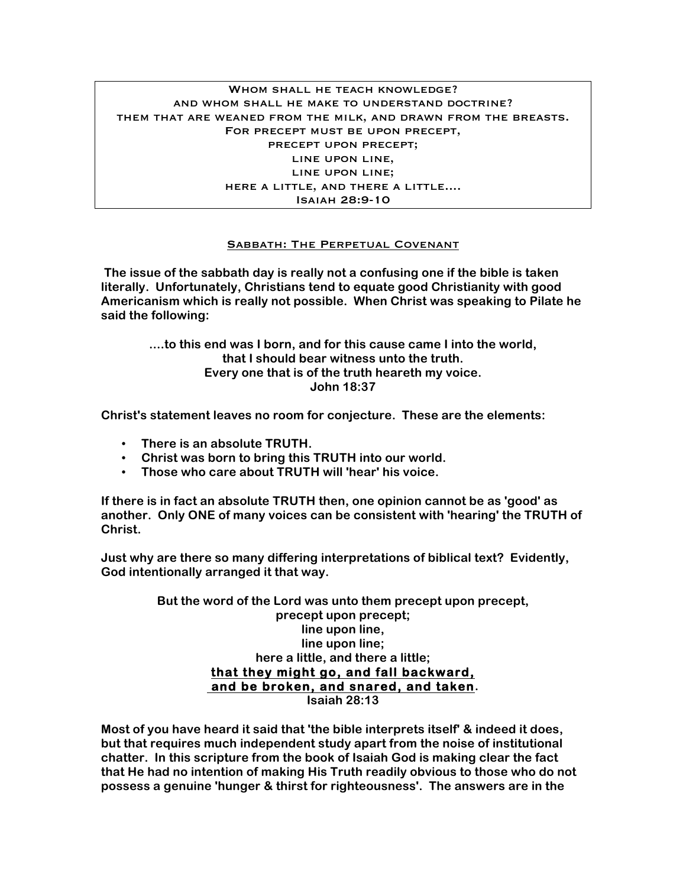## WHOM SHALL HE TEACH KNOWLEDGE? and whom shall he make to understand doctrine? them that are weaned from the milk, and drawn from the breasts. For precept must be upon precept, precept upon precept; line upon line, line upon line; here a little, and there a little.... Isaiah 28:9-10

## Sabbath: The Perpetual Covenant

**The issue of the sabbath day is really not a confusing one if the bible is taken literally. Unfortunately, Christians tend to equate good Christianity with good Americanism which is really not possible. When Christ was speaking to Pilate he said the following:** 

> **....to this end was I born, and for this cause came I into the world, that I should bear witness unto the truth. Every one that is of the truth heareth my voice. John 18:37**

**Christ's statement leaves no room for conjecture. These are the elements:**

- **There is an absolute TRUTH.**
- **Christ was born to bring this TRUTH into our world.**
- **Those who care about TRUTH will 'hear' his voice.**

**If there is in fact an absolute TRUTH then, one opinion cannot be as 'good' as another. Only ONE of many voices can be consistent with 'hearing' the TRUTH of Christ.**

**Just why are there so many differing interpretations of biblical text? Evidently, God intentionally arranged it that way.**

> **But the word of the Lord was unto them precept upon precept, precept upon precept; line upon line, line upon line; here a little, and there a little; that they might go, and fall backward, and be broken, and snared, and taken. Isaiah 28:13**

**Most of you have heard it said that 'the bible interprets itself' & indeed it does, but that requires much independent study apart from the noise of institutional chatter. In this scripture from the book of Isaiah God is making clear the fact that He had no intention of making His Truth readily obvious to those who do not possess a genuine 'hunger & thirst for righteousness'. The answers are in the**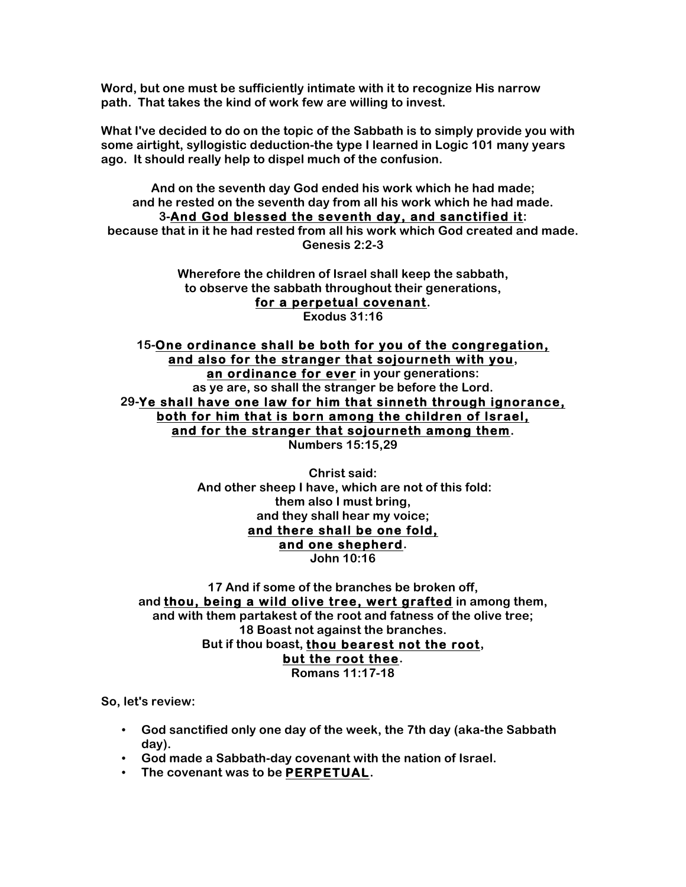**Word, but one must be sufficiently intimate with it to recognize His narrow path. That takes the kind of work few are willing to invest.**

**What I've decided to do on the topic of the Sabbath is to simply provide you with some airtight, syllogistic deduction-the type I learned in Logic 101 many years ago. It should really help to dispel much of the confusion.**

**And on the seventh day God ended his work which he had made; and he rested on the seventh day from all his work which he had made. 3-And God blessed the seventh day, and sanctified it: because that in it he had rested from all his work which God created and made. Genesis 2:2-3**

> **Wherefore the children of Israel shall keep the sabbath, to observe the sabbath throughout their generations, for a perpetual covenant. Exodus 31:16**

**15-One ordinance shall be both for you of the congregation, and also for the stranger that sojourneth with you, an ordinance for ever in your generations: as ye are, so shall the stranger be before the Lord. 29-Ye shall have one law for him that sinneth through ignorance, both for him that is born among the children of Israel, and for the stranger that sojourneth among them. Numbers 15:15,29**

> **Christ said: And other sheep I have, which are not of this fold: them also I must bring, and they shall hear my voice; and there shall be one fold, and one shepherd. John 10:16**

**17 And if some of the branches be broken off, and thou, being a wild olive tree, wert grafted in among them, and with them partakest of the root and fatness of the olive tree; 18 Boast not against the branches. But if thou boast, thou bearest not the root, but the root thee. Romans 11:17-18**

**So, let's review:**

- **God sanctified only one day of the week, the 7th day (aka-the Sabbath day).**
- **God made a Sabbath-day covenant with the nation of Israel.**
- **The covenant was to be PERPETUAL.**